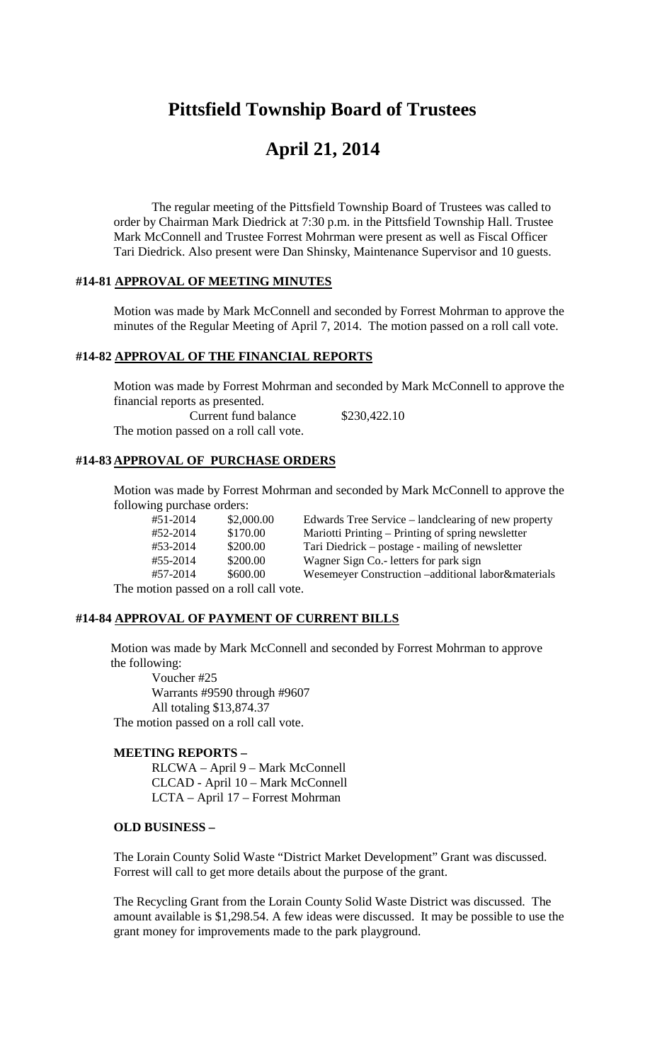# **Pittsfield Township Board of Trustees**

# **April 21, 2014**

The regular meeting of the Pittsfield Township Board of Trustees was called to order by Chairman Mark Diedrick at 7:30 p.m. in the Pittsfield Township Hall. Trustee Mark McConnell and Trustee Forrest Mohrman were present as well as Fiscal Officer Tari Diedrick. Also present were Dan Shinsky, Maintenance Supervisor and 10 guests.

# **#14-81 APPROVAL OF MEETING MINUTES**

Motion was made by Mark McConnell and seconded by Forrest Mohrman to approve the minutes of the Regular Meeting of April 7, 2014. The motion passed on a roll call vote.

### **#14-82 APPROVAL OF THE FINANCIAL REPORTS**

Motion was made by Forrest Mohrman and seconded by Mark McConnell to approve the financial reports as presented.

Current fund balance \$230,422.10 The motion passed on a roll call vote.

### **#14-83 APPROVAL OF PURCHASE ORDERS**

Motion was made by Forrest Mohrman and seconded by Mark McConnell to approve the following purchase orders:

| #51-2014                          | \$2,000.00 | Edwards Tree Service – landclearing of new property |
|-----------------------------------|------------|-----------------------------------------------------|
| #52-2014                          | \$170.00   | Mariotti Printing – Printing of spring newsletter   |
| #53-2014                          | \$200.00   | Tari Diedrick – postage - mailing of newsletter     |
| #55-2014                          | \$200.00   | Wagner Sign Co. - letters for park sign             |
| #57-2014                          | \$600.00   | Wesemeyer Construction -additional labor&materials  |
| notion passed on a roll call vote |            |                                                     |

The motion passed on a roll call vote.

### **#14-84 APPROVAL OF PAYMENT OF CURRENT BILLS**

Motion was made by Mark McConnell and seconded by Forrest Mohrman to approve the following:

Voucher #25 Warrants #9590 through #9607 All totaling \$13,874.37 The motion passed on a roll call vote.

#### **MEETING REPORTS –**

RLCWA – April 9 – Mark McConnell CLCAD - April 10 – Mark McConnell LCTA – April 17 – Forrest Mohrman

# **OLD BUSINESS –**

The Lorain County Solid Waste "District Market Development" Grant was discussed. Forrest will call to get more details about the purpose of the grant.

The Recycling Grant from the Lorain County Solid Waste District was discussed. The amount available is \$1,298.54. A few ideas were discussed. It may be possible to use the grant money for improvements made to the park playground.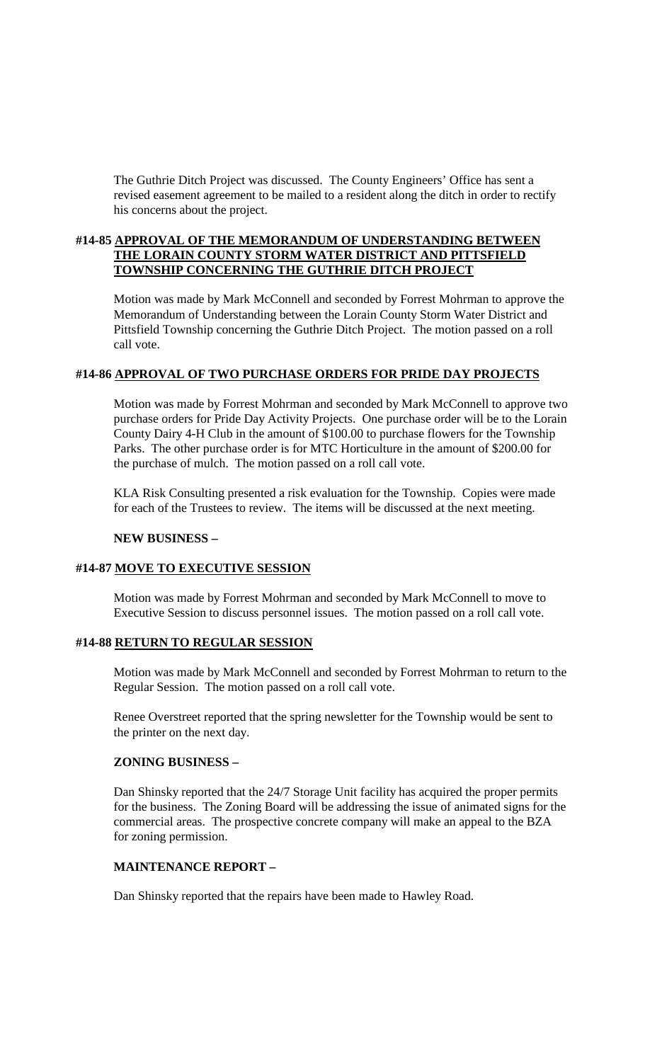The Guthrie Ditch Project was discussed. The County Engineers' Office has sent a revised easement agreement to be mailed to a resident along the ditch in order to rectify his concerns about the project.

# **#14-85 APPROVAL OF THE MEMORANDUM OF UNDERSTANDING BETWEEN THE LORAIN COUNTY STORM WATER DISTRICT AND PITTSFIELD TOWNSHIP CONCERNING THE GUTHRIE DITCH PROJECT**

Motion was made by Mark McConnell and seconded by Forrest Mohrman to approve the Memorandum of Understanding between the Lorain County Storm Water District and Pittsfield Township concerning the Guthrie Ditch Project. The motion passed on a roll call vote.

# **#14-86 APPROVAL OF TWO PURCHASE ORDERS FOR PRIDE DAY PROJECTS**

Motion was made by Forrest Mohrman and seconded by Mark McConnell to approve two purchase orders for Pride Day Activity Projects. One purchase order will be to the Lorain County Dairy 4-H Club in the amount of \$100.00 to purchase flowers for the Township Parks. The other purchase order is for MTC Horticulture in the amount of \$200.00 for the purchase of mulch. The motion passed on a roll call vote.

KLA Risk Consulting presented a risk evaluation for the Township. Copies were made for each of the Trustees to review. The items will be discussed at the next meeting.

# **NEW BUSINESS –**

# **#14-87 MOVE TO EXECUTIVE SESSION**

Motion was made by Forrest Mohrman and seconded by Mark McConnell to move to Executive Session to discuss personnel issues. The motion passed on a roll call vote.

# **#14-88 RETURN TO REGULAR SESSION**

Motion was made by Mark McConnell and seconded by Forrest Mohrman to return to the Regular Session. The motion passed on a roll call vote.

Renee Overstreet reported that the spring newsletter for the Township would be sent to the printer on the next day.

# **ZONING BUSINESS –**

Dan Shinsky reported that the 24/7 Storage Unit facility has acquired the proper permits for the business. The Zoning Board will be addressing the issue of animated signs for the commercial areas. The prospective concrete company will make an appeal to the BZA for zoning permission.

# **MAINTENANCE REPORT –**

Dan Shinsky reported that the repairs have been made to Hawley Road.